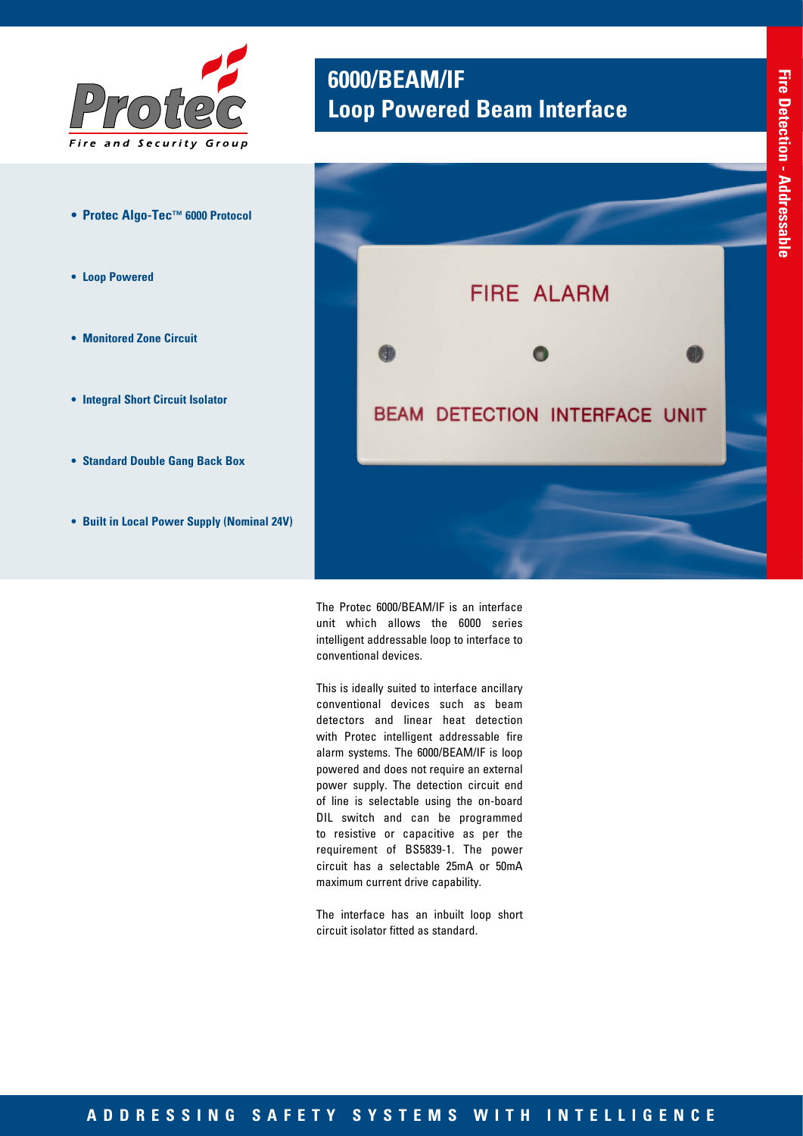

- **• Protec Algo-Tec™ 6000 Protocol**
- **• Loop Powered**
- **• Monitored Zone Circuit**
- **• Integral Short Circuit Isolator**
- **• Standard Double Gang Back Box**
- **• Built in Local Power Supply (Nominal 24V)**

## **6000/BEAM/IF Loop Powered Beam Interface**



The Protec 6000/BEAM/IF is an interface unit which allows the 6000 series intelligent addressable loop to interface to conventional devices.

This is ideally suited to interface ancillary conventional devices such as beam detectors and linear heat detection with Protec intelligent addressable fire alarm systems. The 6000/BEAM/IF is loop powered and does not require an external power supply. The detection circuit end of line is selectable using the on-board DIL switch and can be programmed to resistive or capacitive as per the requirement of BS5839-1. The power circuit has a selectable 25mA or 50mA maximum current drive capability.

The interface has an inbuilt loop short circuit isolator fitted as standard.